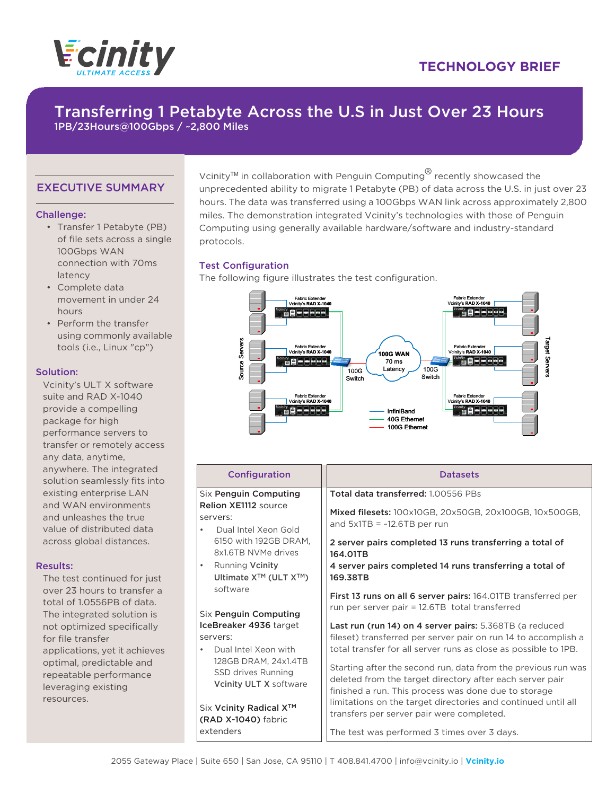

## **TECHNOLOGY BRIEF**

# Transferring 1 Petabyte Across the U.S in Just Over 23 Hours

1PB/23Hours@100Gbps / ~2,800 Miles

### EXECUTIVE SUMMARY

#### Challenge:

- Transfer 1 Petabyte (PB) of file sets across a single 100Gbps WAN connection with 70ms latency
- Complete data movement in under 24 hours
- Perform the transfer using commonly available tools (i.e., Linux "cp")

#### Solution:

Vcinity's ULT X software suite and RAD X-1040 provide a compelling package for high performance servers to transfer or remotely access any data, anytime, anywhere. The integrated solution seamlessly fits into existing enterprise LAN and WAN environments and unleashes the true value of distributed data across global distances.

#### Results:

The test continued for just over 23 hours to transfer a total of 1.0556PB of data. The integrated solution is not optimized specifically for file transfer applications, yet it achieves optimal, predictable and repeatable performance leveraging existing resources.

Vcinity<sup>™</sup> in collaboration with Penguin Computing<sup>®</sup> recently showcased the unprecedented ability to migrate 1 Petabyte (PB) of data across the U.S. in just over 23 hours. The data was transferred using a 100Gbps WAN link across approximately 2,800 miles. The demonstration integrated Vcinity's technologies with those of Penguin Computing using generally available hardware/software and industry-standard protocols.

#### Test Configuration

The following figure illustrates the test configuration.



| Configuration                                                                                             | <b>Datasets</b>                                                                                                                                                                   |  |  |  |
|-----------------------------------------------------------------------------------------------------------|-----------------------------------------------------------------------------------------------------------------------------------------------------------------------------------|--|--|--|
| Six Penguin Computing                                                                                     | Total data transferred: 1,00556 PBs                                                                                                                                               |  |  |  |
| <b>Relion XE1112 source</b><br>servers:<br>Dual Intel Xeon Gold<br>$\bullet$                              | Mixed filesets: 100x10GB, 20x50GB, 20x100GB, 10x500GB,<br>and $5x1TB = -12.6TB$ per run                                                                                           |  |  |  |
| 6150 with 192GB DRAM,<br>8x1.6TB NVMe drives                                                              | 2 server pairs completed 13 runs transferring a total of<br>164.01TB                                                                                                              |  |  |  |
| <b>Running Vcinity</b><br>$\bullet$<br>Ultimate X™ (ULT X™)                                               | 4 server pairs completed 14 runs transferring a total of<br>169.38TB                                                                                                              |  |  |  |
| software<br>Six Penguin Computing                                                                         | First 13 runs on all 6 server pairs: 164.01TB transferred per<br>run per server pair = 12.6TB total transferred                                                                   |  |  |  |
| IceBreaker 4936 target                                                                                    | Last run (run 14) on 4 server pairs: 5.368TB (a reduced                                                                                                                           |  |  |  |
| servers:                                                                                                  | fileset) transferred per server pair on run 14 to accomplish a                                                                                                                    |  |  |  |
| Dual Intel Xeon with<br>$\bullet$<br>128GB DRAM, 24x1.4TB<br>SSD drives Running<br>Vcinity ULT X software | total transfer for all server runs as close as possible to 1PB.                                                                                                                   |  |  |  |
|                                                                                                           | Starting after the second run, data from the previous run was<br>deleted from the target directory after each server pair<br>finished a run. This process was done due to storage |  |  |  |
| Six Vcinity Radical X <sup>™</sup><br>(RAD X-1040) fabric                                                 | limitations on the target directories and continued until all<br>transfers per server pair were completed.                                                                        |  |  |  |
| extenders                                                                                                 | The test was performed 3 times over 3 days.                                                                                                                                       |  |  |  |